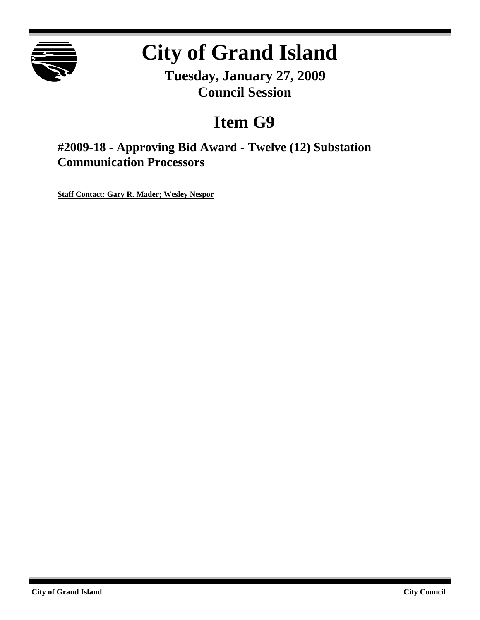

# **City of Grand Island**

**Tuesday, January 27, 2009 Council Session**

## **Item G9**

**#2009-18 - Approving Bid Award - Twelve (12) Substation Communication Processors**

**Staff Contact: Gary R. Mader; Wesley Nespor**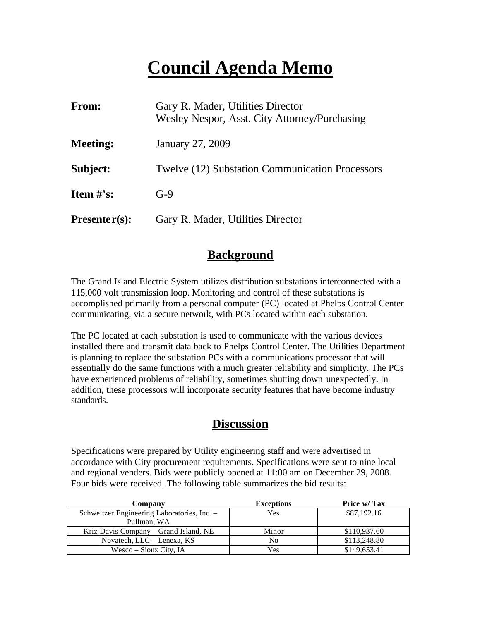## **Council Agenda Memo**

| From:                          | Gary R. Mader, Utilities Director<br>Wesley Nespor, Asst. City Attorney/Purchasing |  |
|--------------------------------|------------------------------------------------------------------------------------|--|
| <b>Meeting:</b>                | January 27, 2009                                                                   |  |
| Subject:                       | <b>Twelve (12) Substation Communication Processors</b>                             |  |
| <b>Item <math>\#</math>'s:</b> | $G-9$                                                                              |  |
| $Presenter(s):$                | Gary R. Mader, Utilities Director                                                  |  |

### **Background**

The Grand Island Electric System utilizes distribution substations interconnected with a 115,000 volt transmission loop. Monitoring and control of these substations is accomplished primarily from a personal computer (PC) located at Phelps Control Center communicating, via a secure network, with PCs located within each substation.

The PC located at each substation is used to communicate with the various devices installed there and transmit data back to Phelps Control Center. The Utilities Department is planning to replace the substation PCs with a communications processor that will essentially do the same functions with a much greater reliability and simplicity. The PCs have experienced problems of reliability, sometimes shutting down unexpectedly. In addition, these processors will incorporate security features that have become industry standards.

### **Discussion**

Specifications were prepared by Utility engineering staff and were advertised in accordance with City procurement requirements. Specifications were sent to nine local and regional venders. Bids were publicly opened at 11:00 am on December 29, 2008. Four bids were received. The following table summarizes the bid results:

| Company                                     | <b>Exceptions</b> | Price w/ Tax |
|---------------------------------------------|-------------------|--------------|
| Schweitzer Engineering Laboratories, Inc. - | Yes               | \$87,192.16  |
| Pullman, WA                                 |                   |              |
| Kriz-Davis Company – Grand Island, NE       | Minor             | \$110,937.60 |
| Novatech, LLC – Lenexa, KS                  | No                | \$113,248.80 |
| Wesco – Sioux City, IA                      | Yes               | \$149,653.41 |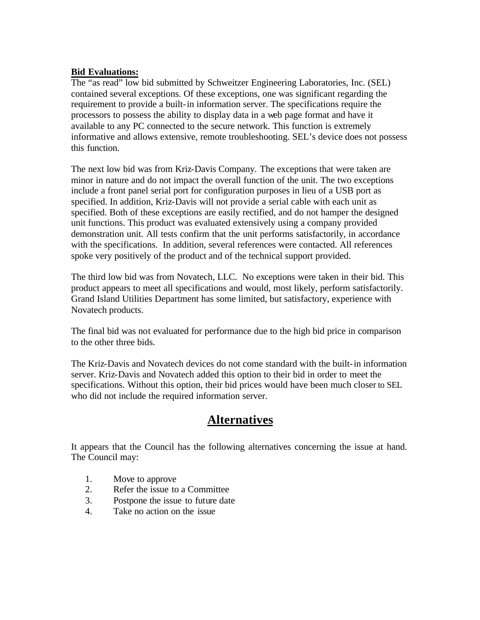#### **Bid Evaluations:**

The "as read" low bid submitted by Schweitzer Engineering Laboratories, Inc. (SEL) contained several exceptions. Of these exceptions, one was significant regarding the requirement to provide a built-in information server. The specifications require the processors to possess the ability to display data in a web page format and have it available to any PC connected to the secure network. This function is extremely informative and allows extensive, remote troubleshooting. SEL's device does not possess this function.

The next low bid was from Kriz-Davis Company. The exceptions that were taken are minor in nature and do not impact the overall function of the unit. The two exceptions include a front panel serial port for configuration purposes in lieu of a USB port as specified. In addition, Kriz-Davis will not provide a serial cable with each unit as specified. Both of these exceptions are easily rectified, and do not hamper the designed unit functions. This product was evaluated extensively using a company provided demonstration unit. All tests confirm that the unit performs satisfactorily, in accordance with the specifications. In addition, several references were contacted. All references spoke very positively of the product and of the technical support provided.

The third low bid was from Novatech, LLC. No exceptions were taken in their bid. This product appears to meet all specifications and would, most likely, perform satisfactorily. Grand Island Utilities Department has some limited, but satisfactory, experience with Novatech products.

The final bid was not evaluated for performance due to the high bid price in comparison to the other three bids.

The Kriz-Davis and Novatech devices do not come standard with the built-in information server. Kriz-Davis and Novatech added this option to their bid in order to meet the specifications. Without this option, their bid prices would have been much closer to SEL who did not include the required information server.

## **Alternatives**

It appears that the Council has the following alternatives concerning the issue at hand. The Council may:

- 1. Move to approve
- 2. Refer the issue to a Committee
- 3. Postpone the issue to future date
- 4. Take no action on the issue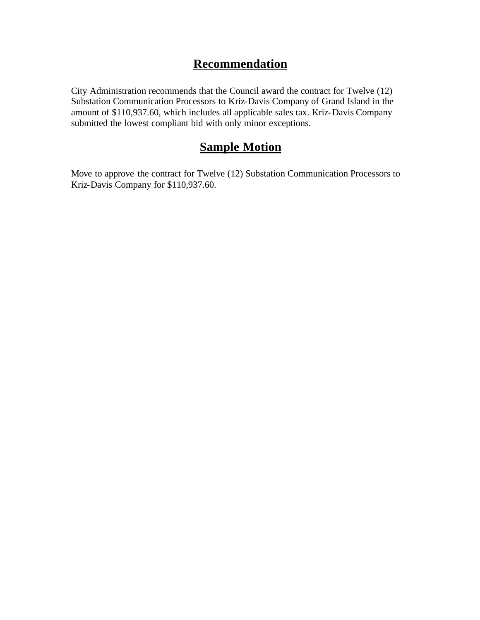## **Recommendation**

City Administration recommends that the Council award the contract for Twelve (12) Substation Communication Processors to Kriz-Davis Company of Grand Island in the amount of \$110,937.60, which includes all applicable sales tax. Kriz-Davis Company submitted the lowest compliant bid with only minor exceptions.

## **Sample Motion**

Move to approve the contract for Twelve (12) Substation Communication Processors to Kriz-Davis Company for \$110,937.60.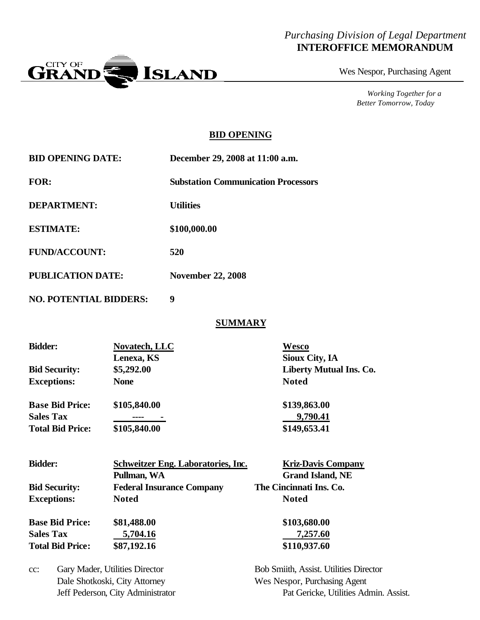#### *Purchasing Division of Legal Department* **INTEROFFICE MEMORANDUM**



Wes Nespor, Purchasing Agent

*Working Together for a Better Tomorrow, Today*

#### **BID OPENING**

|     | <b>Substation Communication Processors</b>                                                                                 |  |
|-----|----------------------------------------------------------------------------------------------------------------------------|--|
|     |                                                                                                                            |  |
|     | \$100,000.00                                                                                                               |  |
| 520 |                                                                                                                            |  |
|     | <b>November 22, 2008</b>                                                                                                   |  |
| 9   |                                                                                                                            |  |
|     | <b>SUMMARY</b>                                                                                                             |  |
|     | <b>Wesco</b>                                                                                                               |  |
|     | <b>Sioux City, IA</b><br><b>Liberty Mutual Ins. Co.</b>                                                                    |  |
|     | <b>Utilities</b><br><b>PUBLICATION DATE:</b><br><b>NO. POTENTIAL BIDDERS:</b><br>Novatech, LLC<br>Lenexa, KS<br>\$5,292.00 |  |

| \$139,863.00 |
|--------------|
| 9,790.41     |
| \$149,653.41 |
|              |

**Exceptions: None Noted**

| <b>Bidder:</b>          | Schweitzer Eng. Laboratories, Inc. | <b>Kriz-Davis Company</b> |
|-------------------------|------------------------------------|---------------------------|
|                         | Pullman, WA                        | <b>Grand Island, NE</b>   |
| <b>Bid Security:</b>    | <b>Federal Insurance Company</b>   | The Cincinnati Ins. Co.   |
| <b>Exceptions:</b>      | <b>Noted</b>                       | <b>Noted</b>              |
| <b>Base Bid Price:</b>  | \$81,488.00                        | \$103,680.00              |
| <b>Sales Tax</b>        | 5,704.16                           | 7,257.60                  |
| <b>Total Bid Price:</b> | \$87,192.16                        | \$110,937.60              |

cc: Gary Mader, Utilities Director Bob Smiith, Assist. Utilities Director Dale Shotkoski, City Attorney Wes Nespor, Purchasing Agent

Jeff Pederson, City Administrator Pat Gericke, Utilities Admin. Assist.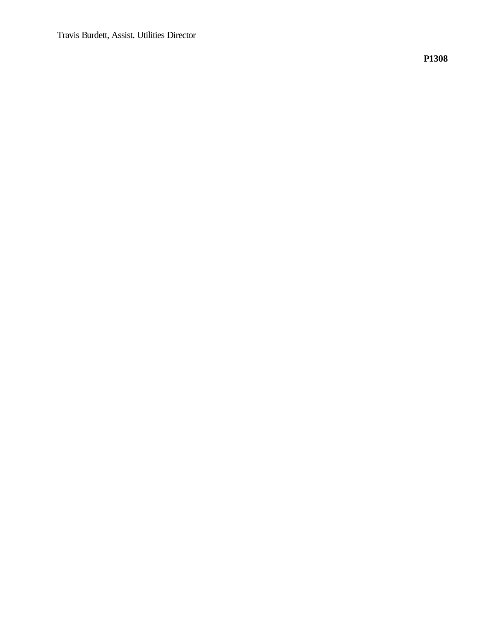Travis Burdett, Assist. Utilities Director

**P1308**